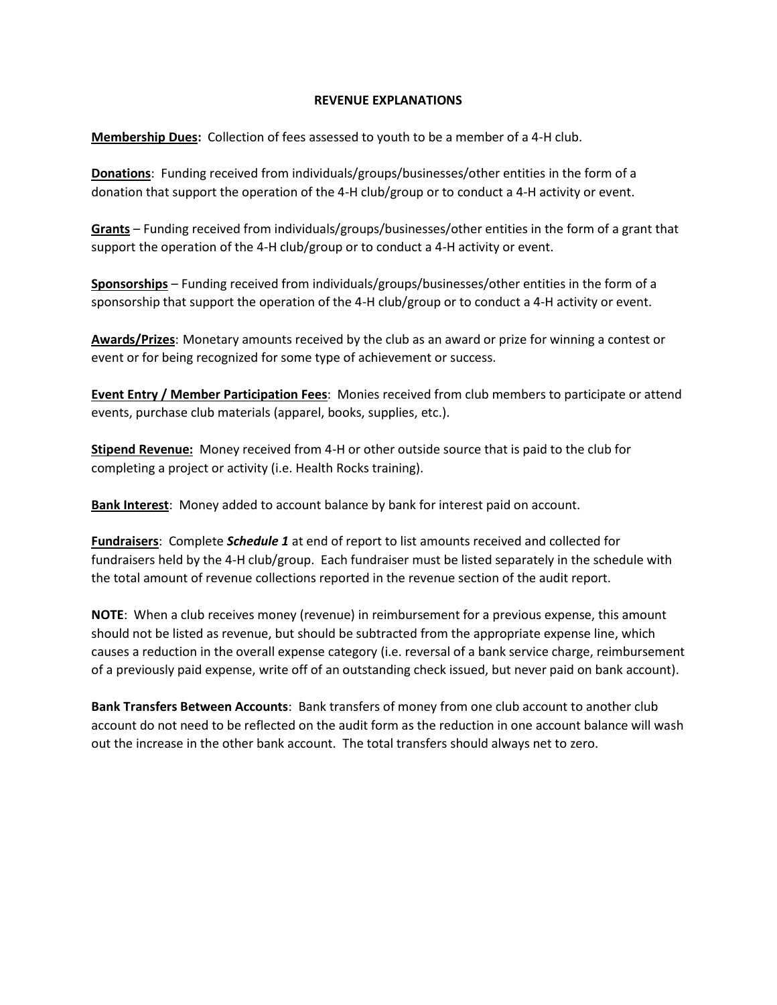## **REVENUE EXPLANATIONS**

**Membership Dues:** Collection of fees assessed to youth to be a member of a 4-H club.

**Donations**: Funding received from individuals/groups/businesses/other entities in the form of a donation that support the operation of the 4-H club/group or to conduct a 4-H activity or event.

**Grants** – Funding received from individuals/groups/businesses/other entities in the form of a grant that support the operation of the 4-H club/group or to conduct a 4-H activity or event.

**Sponsorships** – Funding received from individuals/groups/businesses/other entities in the form of a sponsorship that support the operation of the 4-H club/group or to conduct a 4-H activity or event.

**Awards/Prizes**: Monetary amounts received by the club as an award or prize for winning a contest or event or for being recognized for some type of achievement or success.

**Event Entry / Member Participation Fees**: Monies received from club members to participate or attend events, purchase club materials (apparel, books, supplies, etc.).

**Stipend Revenue:** Money received from 4-H or other outside source that is paid to the club for completing a project or activity (i.e. Health Rocks training).

**Bank Interest**: Money added to account balance by bank for interest paid on account.

**Fundraisers**: Complete *Schedule 1* at end of report to list amounts received and collected for fundraisers held by the 4-H club/group. Each fundraiser must be listed separately in the schedule with the total amount of revenue collections reported in the revenue section of the audit report.

**NOTE**: When a club receives money (revenue) in reimbursement for a previous expense, this amount should not be listed as revenue, but should be subtracted from the appropriate expense line, which causes a reduction in the overall expense category (i.e. reversal of a bank service charge, reimbursement of a previously paid expense, write off of an outstanding check issued, but never paid on bank account).

**Bank Transfers Between Accounts**: Bank transfers of money from one club account to another club account do not need to be reflected on the audit form as the reduction in one account balance will wash out the increase in the other bank account. The total transfers should always net to zero.